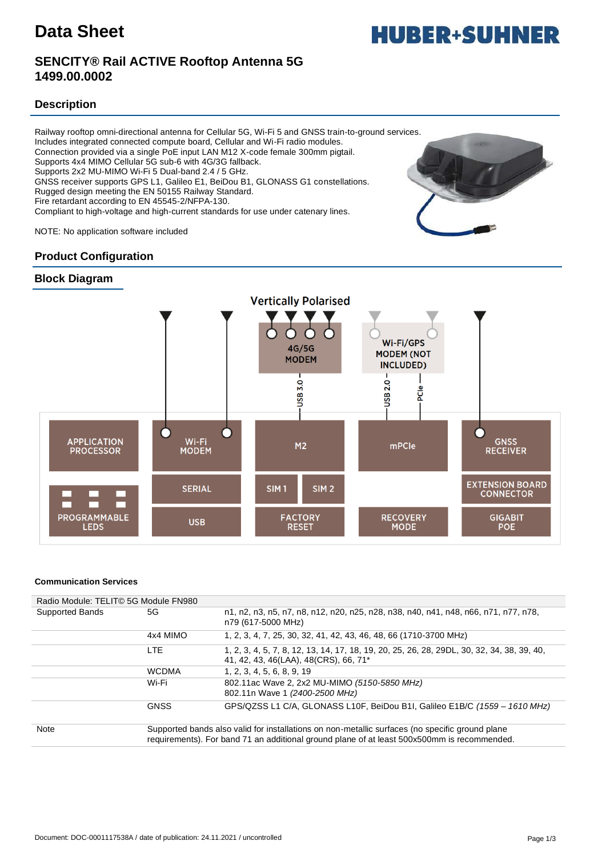## **SENCITY® Rail ACTIVE Rooftop Antenna 5G 1499.00.0002**

### **Description**

Railway rooftop omni-directional antenna for Cellular 5G, Wi-Fi 5 and GNSS train-to-ground services. Includes integrated connected compute board, Cellular and Wi-Fi radio modules. Connection provided via a single PoE input LAN M12 X-code female 300mm pigtail. Supports 4x4 MIMO Cellular 5G sub-6 with 4G/3G fallback. Supports 2x2 MU-MIMO Wi-Fi 5 Dual-band 2.4 / 5 GHz. GNSS receiver supports GPS L1, Galileo E1, BeiDou B1, GLONASS G1 constellations. Rugged design meeting the EN 50155 Railway Standard. Fire retardant according to EN 45545-2/NFPA-130. Compliant to high-voltage and high-current standards for use under catenary lines.

NOTE: No application software included

### **Product Configuration**





#### **Communication Services**

| Radio Module: TELIT© 5G Module FN980 |              |                                                                                                                                                                                                |
|--------------------------------------|--------------|------------------------------------------------------------------------------------------------------------------------------------------------------------------------------------------------|
| Supported Bands                      | 5G           | n1, n2, n3, n5, n7, n8, n12, n20, n25, n28, n38, n40, n41, n48, n66, n71, n77, n78,<br>n79 (617-5000 MHz)                                                                                      |
|                                      | 4x4 MIMO     | 1, 2, 3, 4, 7, 25, 30, 32, 41, 42, 43, 46, 48, 66 (1710-3700 MHz)                                                                                                                              |
|                                      | <b>LTE</b>   | 1, 2, 3, 4, 5, 7, 8, 12, 13, 14, 17, 18, 19, 20, 25, 26, 28, 29DL, 30, 32, 34, 38, 39, 40,<br>41, 42, 43, 46(LAA), 48(CRS), 66, 71*                                                            |
|                                      | <b>WCDMA</b> | 1, 2, 3, 4, 5, 6, 8, 9, 19                                                                                                                                                                     |
|                                      | Wi-Fi        | 802.11ac Wave 2, 2x2 MU-MIMO (5150-5850 MHz)<br>802.11n Wave 1 (2400-2500 MHz)                                                                                                                 |
|                                      | <b>GNSS</b>  | GPS/QZSS L1 C/A, GLONASS L10F, BeiDou B1I, Galileo E1B/C (1559 - 1610 MHz)                                                                                                                     |
| <b>Note</b>                          |              | Supported bands also valid for installations on non-metallic surfaces (no specific ground plane<br>requirements). For band 71 an additional ground plane of at least 500x500mm is recommended. |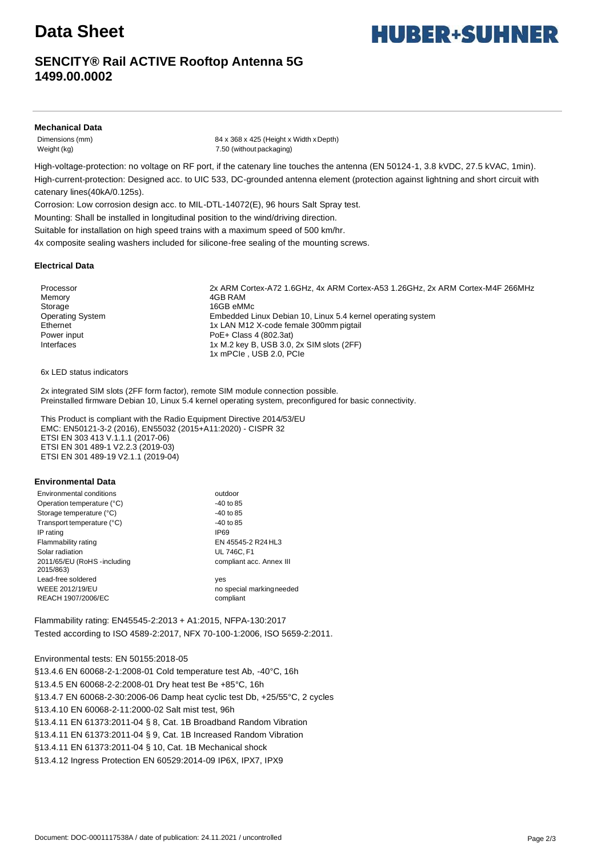# **Data Sheet**

## **SENCITY® Rail ACTIVE Rooftop Antenna 5G 1499.00.0002**

#### **Mechanical Data**

Dimensions (mm) 84 x 368 x 425 (Height x Width xDepth) Weight (kg) 7.50 (without packaging)

High-voltage-protection: no voltage on RF port, if the catenary line touches the antenna (EN 50124-1, 3.8 kVDC, 27.5 kVAC, 1min). High-current-protection: Designed acc. to UIC 533, DC-grounded antenna element (protection against lightning and short circuit with catenary lines(40kA/0.125s).

Corrosion: Low corrosion design acc. to MIL-DTL-14072(E), 96 hours Salt Spray test.

Mounting: Shall be installed in longitudinal position to the wind/driving direction.

Suitable for installation on high speed trains with a maximum speed of 500 km/hr.

4x composite sealing washers included for silicone-free sealing of the mounting screws.

#### **Electrical Data**

Memory **4GB RAM** Storage 16GB eMMc

Processor 2x ARM Cortex-A72 1.6GHz, 4x ARM Cortex-A53 1.26GHz, 2x ARM Cortex-M4F 266MHz Operating System Embedded Linux Debian 10, Linux 5.4 kernel operating system Ethernet 1x LAN M12 X-code female 300mm pigtail Power input Power input Poet + Class 4 (802.3at) Interfaces 1x M.2 key B, USB 3.0, 2x SIM slots (2FF) 1x mPCIe , USB 2.0, PCIe

6x LED status indicators

2x integrated SIM slots (2FF form factor), remote SIM module connection possible. Preinstalled firmware Debian 10, Linux 5.4 kernel operating system, preconfigured for basic connectivity.

This Product is compliant with the Radio Equipment Directive 2014/53/EU EMC: EN50121-3-2 (2016), EN55032 (2015+A11:2020) - CISPR 32 ETSI EN 303 413 V.1.1.1 (2017-06) ETSI EN 301 489-1 V2.2.3 (2019-03) ETSI EN 301 489-19 V2.1.1 (2019-04)

#### **Environmental Data**

| Environmental conditions                  | outdoor                   |
|-------------------------------------------|---------------------------|
| Operation temperature (°C)                | $-40$ to 85               |
| Storage temperature (°C)                  | $-40$ to 85               |
| Transport temperature (°C)                | $-40$ to 85               |
| IP rating                                 | IP69                      |
| Flammability rating                       | EN 45545-2 R24 HL3        |
| Solar radiation                           | <b>UL 746C, F1</b>        |
| 2011/65/EU (RoHS - including<br>2015/863) | compliant acc. Annex III  |
| Lead-free soldered                        | yes                       |
| WEEE 2012/19/EU                           | no special marking needed |
| REACH 1907/2006/EC                        | compliant                 |

Flammability rating: EN45545-2:2013 + A1:2015, NFPA-130:2017 Tested according to ISO 4589-2:2017, NFX 70-100-1:2006, ISO 5659-2:2011.

Environmental tests: EN 50155:2018-05

§13.4.6 EN 60068-2-1:2008-01 Cold temperature test Ab, -40°C, 16h §13.4.5 EN 60068-2-2:2008-01 Dry heat test Be +85°C, 16h §13.4.7 EN 60068-2-30:2006-06 Damp heat cyclic test Db, +25/55°C, 2 cycles §13.4.10 EN 60068-2-11:2000-02 Salt mist test, 96h §13.4.11 EN 61373:2011-04 § 8, Cat. 1B Broadband Random Vibration §13.4.11 EN 61373:2011-04 § 9, Cat. 1B Increased Random Vibration §13.4.11 EN 61373:2011-04 § 10, Cat. 1B Mechanical shock §13.4.12 Ingress Protection EN 60529:2014-09 IP6X, IPX7, IPX9